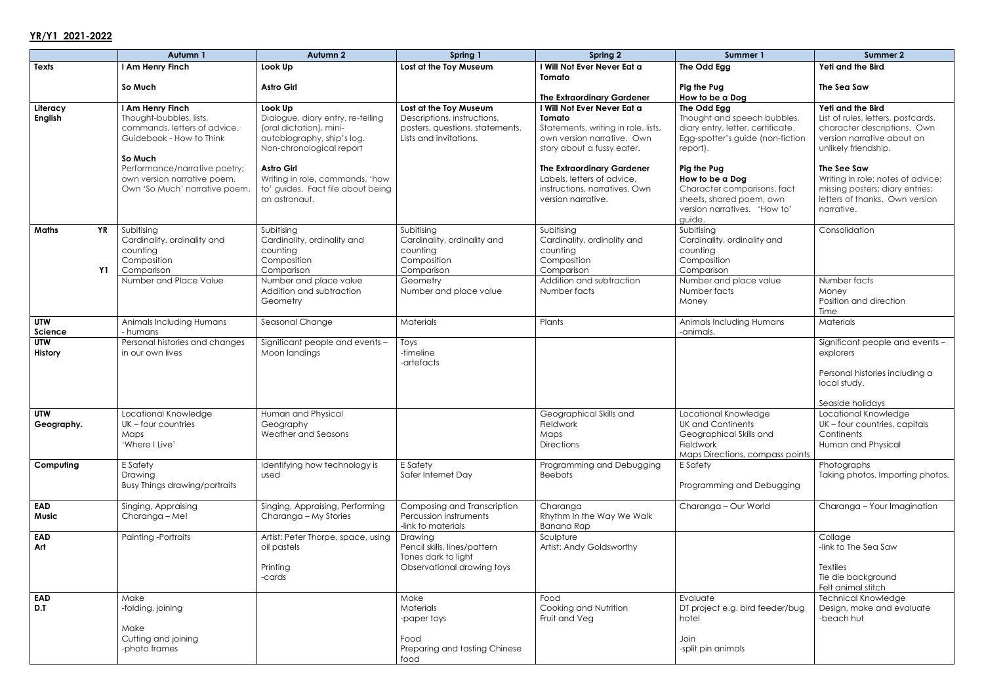## **YR/Y1 2021-2022**

|                                        | Autumn 1                                                                                                                                                                                                            | Autumn <sub>2</sub>                                                                                                                                                                                                                             | Spring 1                                                                                                           | Spring 2                                                                                                                                                                                                                                                           | Summer 1                                                                                                                                                                                                                                                               | <b>Summer 2</b>                                                                                                                                                                                                                                                                     |
|----------------------------------------|---------------------------------------------------------------------------------------------------------------------------------------------------------------------------------------------------------------------|-------------------------------------------------------------------------------------------------------------------------------------------------------------------------------------------------------------------------------------------------|--------------------------------------------------------------------------------------------------------------------|--------------------------------------------------------------------------------------------------------------------------------------------------------------------------------------------------------------------------------------------------------------------|------------------------------------------------------------------------------------------------------------------------------------------------------------------------------------------------------------------------------------------------------------------------|-------------------------------------------------------------------------------------------------------------------------------------------------------------------------------------------------------------------------------------------------------------------------------------|
| <b>Texts</b>                           | I Am Henry Finch                                                                                                                                                                                                    | Look Up                                                                                                                                                                                                                                         | Lost at the Toy Museum                                                                                             | I Will Not Ever Never Eat a                                                                                                                                                                                                                                        | The Odd Egg                                                                                                                                                                                                                                                            | Yeti and the Bird                                                                                                                                                                                                                                                                   |
|                                        | So Much                                                                                                                                                                                                             | <b>Astro Girl</b>                                                                                                                                                                                                                               |                                                                                                                    | Tomato<br><b>The Extraordinary Gardener</b>                                                                                                                                                                                                                        | Pig the Pug<br>How to be a Dog                                                                                                                                                                                                                                         | The Sea Saw                                                                                                                                                                                                                                                                         |
| Literacy<br><b>English</b>             | I Am Henry Finch<br>Thought-bubbles, lists,<br>commands, letters of advice.<br>Guidebook - How to Think<br>So Much<br>Performance/narrative poetry;<br>own version narrative poem.<br>Own 'So Much' narrative poem. | Look Up<br>Dialogue, diary entry, re-telling<br>(oral dictation), mini-<br>autobiography, ship's log.<br>Non-chronological report<br><b>Astro Girl</b><br>Writing in role, commands, 'how<br>to' guides. Fact file about being<br>an astronaut. | Lost at the Toy Museum<br>Descriptions, instructions,<br>posters, questions, statements.<br>Lists and invitations. | I Will Not Ever Never Eat a<br>Tomato<br>Statements, writing in role, lists,<br>own version narrative. Own<br>story about a fussy eater.<br><b>The Extraordinary Gardener</b><br>Labels, letters of advice,<br>instructions, narratives. Own<br>version narrative. | The Odd Egg<br>Thought and speech bubbles,<br>diary entry, letter, certificate.<br>Egg-spotter's guide (non-fiction<br>report).<br>Pig the Pug<br>How to be a Dog<br>Character comparisons, fact<br>sheets, shared poem, own<br>version narratives. 'How to'<br>guide. | Yeti and the Bird<br>List of rules, letters, postcards,<br>character descriptions. Own<br>version narrative about an<br>unlikely friendship.<br>The See Saw<br>Writing in role; notes of advice;<br>missing posters; diary entries;<br>letters of thanks. Own version<br>narrative. |
| <b>YR</b><br><b>Maths</b><br><b>Y1</b> | Subitising<br>Cardinality, ordinality and<br>counting<br>Composition<br>Comparison                                                                                                                                  | Subitising<br>Cardinality, ordinality and<br>counting<br>Composition<br>Comparison                                                                                                                                                              | Subitising<br>Cardinality, ordinality and<br>counting<br>Composition<br>Comparison                                 | Subitising<br>Cardinality, ordinality and<br>counting<br>Composition<br>Comparison                                                                                                                                                                                 | Subitising<br>Cardinality, ordinality and<br>counting<br>Composition<br>Comparison                                                                                                                                                                                     | Consolidation                                                                                                                                                                                                                                                                       |
|                                        | Number and Place Value                                                                                                                                                                                              | Number and place value<br>Addition and subtraction<br>Geometry                                                                                                                                                                                  | Geometry<br>Number and place value                                                                                 | Addition and subtraction<br>Number facts                                                                                                                                                                                                                           | Number and place value<br>Number facts<br>Money                                                                                                                                                                                                                        | Number facts<br>Money<br>Position and direction<br>Time                                                                                                                                                                                                                             |
| <b>UTW</b><br>Science                  | Animals Including Humans<br>- humans                                                                                                                                                                                | Seasonal Change                                                                                                                                                                                                                                 | Materials                                                                                                          | Plants                                                                                                                                                                                                                                                             | Animals Including Humans<br>-animals.                                                                                                                                                                                                                                  | Materials                                                                                                                                                                                                                                                                           |
| <b>UTW</b><br>History                  | Personal histories and changes<br>in our own lives                                                                                                                                                                  | Significant people and events -<br>Moon landings                                                                                                                                                                                                | Toys<br>-timeline<br>-artefacts                                                                                    |                                                                                                                                                                                                                                                                    |                                                                                                                                                                                                                                                                        | Significant people and events -<br>explorers<br>Personal histories including a<br>local study.<br>Seaside holidays                                                                                                                                                                  |
| <b>UTW</b><br>Geography.               | Locational Knowledge<br>UK - four countries<br>Maps<br>'Where I Live'                                                                                                                                               | Human and Physical<br>Geography<br>Weather and Seasons                                                                                                                                                                                          |                                                                                                                    | Geographical Skills and<br>Fieldwork<br>Maps<br><b>Directions</b>                                                                                                                                                                                                  | Locational Knowledge<br><b>UK and Continents</b><br>Geographical Skills and<br>Fieldwork<br>Maps Directions, compass points                                                                                                                                            | Locational Knowledge<br>UK - four countries, capitals<br>Continents<br>Human and Physical                                                                                                                                                                                           |
| Computing                              | E Safety<br>Drawing<br><b>Busy Things drawing/portraits</b>                                                                                                                                                         | Identifying how technology is<br>used                                                                                                                                                                                                           | E Safety<br>Safer Internet Day                                                                                     | Programming and Debugging<br><b>Beebots</b>                                                                                                                                                                                                                        | E Safety<br>Programming and Debugging                                                                                                                                                                                                                                  | Photographs<br>Taking photos. Importing photos.                                                                                                                                                                                                                                     |
| <b>EAD</b><br><b>Music</b>             | Singing, Appraising<br>Charanga - Me!                                                                                                                                                                               | Singing, Appraising, Performing<br>Charanga - My Stories                                                                                                                                                                                        | Composing and Transcription<br>Percussion instruments<br>-link to materials                                        | Charanga<br>Rhythm In the Way We Walk<br>Banana Rap                                                                                                                                                                                                                | Charanga - Our World                                                                                                                                                                                                                                                   | Charanga - Your Imagination                                                                                                                                                                                                                                                         |
| <b>EAD</b><br>Art                      | Painting -Portraits                                                                                                                                                                                                 | Artist: Peter Thorpe, space, using<br>oil pastels<br>Printing<br>-cards                                                                                                                                                                         | Drawing<br>Pencil skills, lines/pattern<br>Tones dark to light<br>Observational drawing toys                       | Sculpture<br>Artist: Andy Goldsworthy                                                                                                                                                                                                                              |                                                                                                                                                                                                                                                                        | Collage<br>-link to The Sea Saw<br><b>Textiles</b><br>Tie die background<br>Felt animal stitch                                                                                                                                                                                      |
| <b>EAD</b><br>D.T                      | Make<br>-folding, joining<br>Make<br>Cutting and joining<br>-photo frames                                                                                                                                           |                                                                                                                                                                                                                                                 | Make<br><b>Materials</b><br>-paper toys<br>Food<br>Preparing and tasting Chinese<br>food                           | Food<br>Cooking and Nutrition<br>Fruit and Veg                                                                                                                                                                                                                     | Evaluate<br>DT project e.g. bird feeder/bug<br>hotel<br>Join<br>-split pin animals                                                                                                                                                                                     | <b>Technical Knowledge</b><br>Design, make and evaluate<br>-beach hut                                                                                                                                                                                                               |